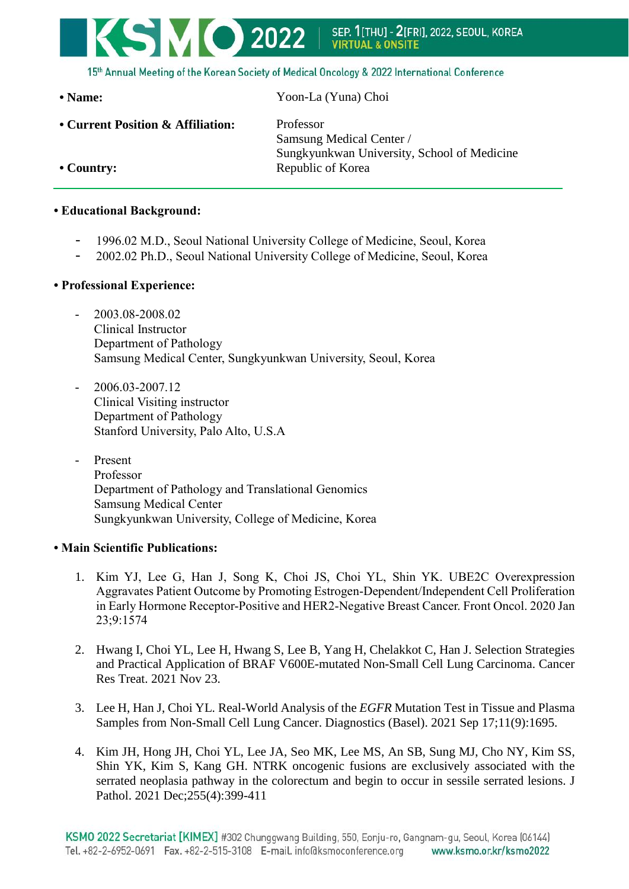

15th Annual Meeting of the Korean Society of Medical Oncology & 2022 International Conference

**• Name:** Yoon-La (Yuna) Choi

**• Current Position & Affiliation:** Professor

Samsung Medical Center / Sungkyunkwan University, School of Medicine **• Country:** Republic of Korea

## **• Educational Background:**

- 1996.02 M.D., Seoul National University College of Medicine, Seoul, Korea
- 2002.02 Ph.D., Seoul National University College of Medicine, Seoul, Korea
- **• Professional Experience:**
	- 2003.08-2008.02 Clinical Instructor Department of Pathology Samsung Medical Center, Sungkyunkwan University, Seoul, Korea
	- $-2006.03 2007.12$ Clinical Visiting instructor Department of Pathology Stanford University, Palo Alto, U.S.A
	- Present Professor Department of Pathology and Translational Genomics Samsung Medical Center Sungkyunkwan University, College of Medicine, Korea

## **• Main Scientific Publications:**

- 1. Kim YJ, Lee G, Han J, Song K, Choi JS, Choi YL, Shin YK. UBE2C Overexpression Aggravates Patient Outcome by Promoting Estrogen-Dependent/Independent Cell Proliferation in Early Hormone Receptor-Positive and HER2-Negative Breast Cancer. Front Oncol. 2020 Jan 23;9:1574
- 2. Hwang I, Choi YL, Lee H, Hwang S, Lee B, Yang H, Chelakkot C, Han J. Selection Strategies and Practical Application of BRAF V600E-mutated Non-Small Cell Lung Carcinoma. Cancer Res Treat. 2021 Nov 23.
- 3. Lee H, Han J, Choi YL. [Real-World](https://pubmed.ncbi.nlm.nih.gov/34574036/) Analysis of the *EGFR* Mutation Test in Tissue and Plasma Samples from [Non-Small](https://pubmed.ncbi.nlm.nih.gov/34574036/) Cell Lung Cancer. Diagnostics (Basel). 2021 Sep 17;11(9):1695.
- 4. Kim JH, Hong JH, Choi YL, Lee JA, Seo MK, Lee MS, An SB, Sung MJ, Cho NY, Kim SS, Shin YK, Kim S, Kang GH. NTRK oncogenic fusions are [exclusively](https://pubmed.ncbi.nlm.nih.gov/34402529/) associated with the serrated neoplasia pathway in the [colorectum](https://pubmed.ncbi.nlm.nih.gov/34402529/) and begin to occur in sessile serrated lesions. J Pathol. 2021 Dec;255(4):399-411